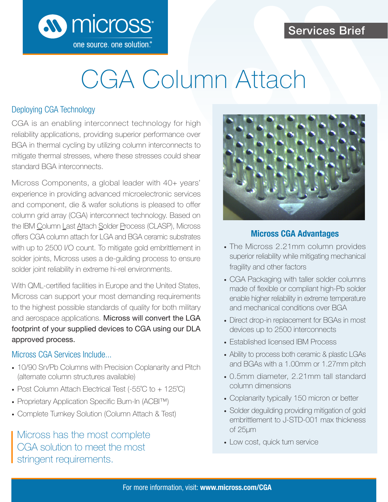## Services Brief



# CGA Column Attach

#### Deploying CGA Technology

CGA is an enabling interconnect technology for high reliability applications, providing superior performance over BGA in thermal cycling by utilizing column interconnects to mitigate thermal stresses, where these stresses could shear standard BGA interconnects.

Micross Components, a global leader with 40+ years' experience in providing advanced microelectronic services and component, die & wafer solutions is pleased to offer column grid array (CGA) interconnect technology. Based on the IBM Column Last Attach Solder Process (CLASP), Micross offers CGA column attach for LGA and BGA ceramic substrates with up to 2500 I/O count. To mitigate gold embrittlement in solder joints, Micross uses a de-guilding process to ensure solder joint reliability in extreme hi-rel environments.

With QML-certified facilities in Europe and the United States, Micross can support your most demanding requirements to the highest possible standards of quality for both military and aerospace applications. Micross will convert the LGA footprint of your supplied devices to CGA using our DLA approved process.

#### Micross CGA Services Include...

- 10/90 Sn/Pb Columns with Precision Coplanarity and Pitch (alternate column structures available)
- Post Column Attach Electrical Test (-55°C to + 125°C)
- Proprietary Application Specific Burn-In (ACBI™)
- Complete Turnkey Solution (Column Attach & Test)

Micross has the most complete<br>  $\sim$  Low cost, quick turn service CGA solution to meet the most stringent requirements.



#### **Micross CGA Advantages**

- The Micross 2.21mm column provides superior reliability while mitigating mechanical fragility and other factors
- CGA Packaging with taller solder columns made of flexible or compliant high-Pb solder enable higher reliability in extreme temperature and mechanical conditions over BGA
- Direct drop-in replacement for BGAs in most devices up to 2500 interconnects
- Established licensed IBM Process
- Ability to process both ceramic & plastic LGAs and BGAs with a 1.00mm or 1.27mm pitch
- 0.5mm diameter, 2.21mm tall standard column dimensions
- Coplanarity typically 150 micron or better
- Solder deguilding providing mitigation of gold embrittlement to J-STD-001 max thickness of 25μm
-